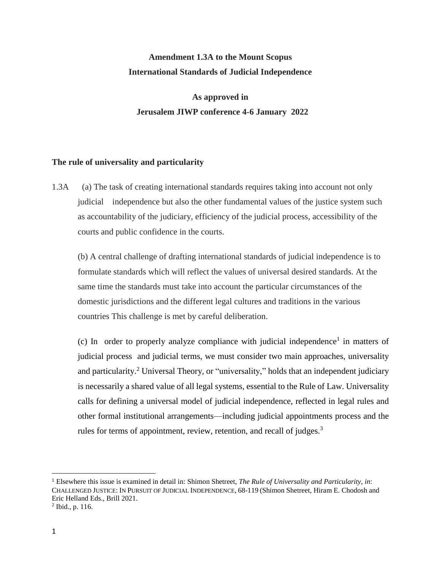## **Amendment 1.3A to the Mount Scopus International Standards of Judicial Independence**

## **As approved in Jerusalem JIWP conference 4-6 January 2022**

## **The rule of universality and particularity**

1.3A (a) The task of creating international standards requires taking into account not only judicial independence but also the other fundamental values of the justice system such as accountability of the judiciary, efficiency of the judicial process, accessibility of the courts and public confidence in the courts.

(b) A central challenge of drafting international standards of judicial independence is to formulate standards which will reflect the values of universal desired standards. At the same time the standards must take into account the particular circumstances of the domestic jurisdictions and the different legal cultures and traditions in the various countries This challenge is met by careful deliberation.

 $(c)$  In order to properly analyze compliance with judicial independence<sup>1</sup> in matters of judicial process and judicial terms, we must consider two main approaches, universality and particularity.<sup>2</sup> Universal Theory, or "universality," holds that an independent judiciary is necessarily a shared value of all legal systems, essential to the Rule of Law. Universality calls for defining a universal model of judicial independence, reflected in legal rules and other formal institutional arrangements—including judicial appointments process and the rules for terms of appointment, review, retention, and recall of judges.<sup>3</sup>

 $\overline{\phantom{a}}$ <sup>1</sup> Elsewhere this issue is examined in detail in: Shimon Shetreet, *The Rule of Universality and Particularity*, *in*: CHALLENGED JUSTICE: IN PURSUIT OF JUDICIAL INDEPENDENCE, 68-119 (Shimon Shetreet, Hiram E. Chodosh and Eric Helland Eds., Brill 2021.

<sup>2</sup> Ibid., p. 116.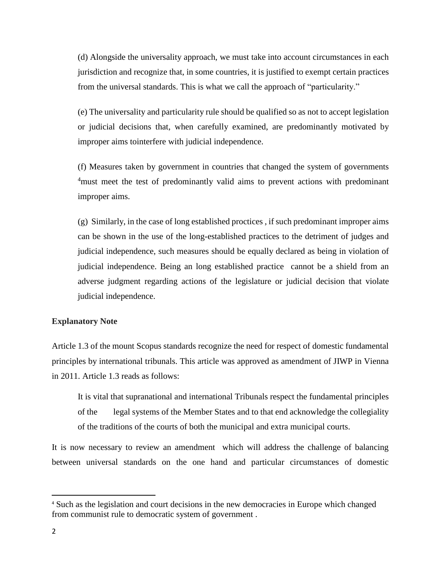(d) Alongside the universality approach, we must take into account circumstances in each jurisdiction and recognize that, in some countries, it is justified to exempt certain practices from the universal standards. This is what we call the approach of "particularity."

(e) The universality and particularity rule should be qualified so as not to accept legislation or judicial decisions that, when carefully examined, are predominantly motivated by improper aims tointerfere with judicial independence.

(f) Measures taken by government in countries that changed the system of governments <sup>4</sup>must meet the test of predominantly valid aims to prevent actions with predominant improper aims.

(g) Similarly, in the case of long established proctices , if such predominant improper aims can be shown in the use of the long-established practices to the detriment of judges and judicial independence, such measures should be equally declared as being in violation of judicial independence. Being an long established practice cannot be a shield from an adverse judgment regarding actions of the legislature or judicial decision that violate judicial independence.

## **Explanatory Note**

Article 1.3 of the mount Scopus standards recognize the need for respect of domestic fundamental principles by international tribunals. This article was approved as amendment of JIWP in Vienna in 2011. Article 1.3 reads as follows:

It is vital that supranational and international Tribunals respect the fundamental principles of the legal systems of the Member States and to that end acknowledge the collegiality of the traditions of the courts of both the municipal and extra municipal courts.

It is now necessary to review an amendment which will address the challenge of balancing between universal standards on the one hand and particular circumstances of domestic

 $\overline{\phantom{a}}$ 

<sup>4</sup> Such as the legislation and court decisions in the new democracies in Europe which changed from communist rule to democratic system of government .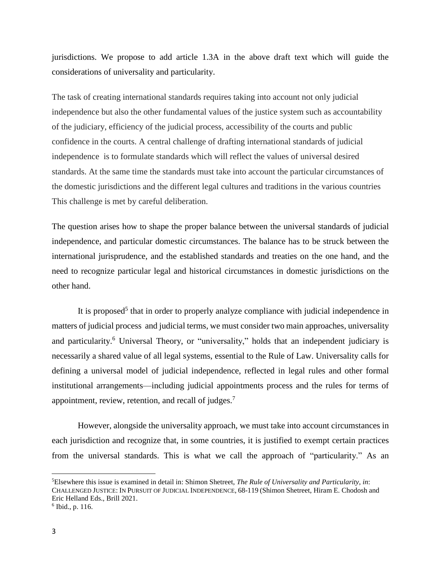jurisdictions. We propose to add article 1.3A in the above draft text which will guide the considerations of universality and particularity.

The task of creating international standards requires taking into account not only judicial independence but also the other fundamental values of the justice system such as accountability of the judiciary, efficiency of the judicial process, accessibility of the courts and public confidence in the courts. A central challenge of drafting international standards of judicial independence is to formulate standards which will reflect the values of universal desired standards. At the same time the standards must take into account the particular circumstances of the domestic jurisdictions and the different legal cultures and traditions in the various countries This challenge is met by careful deliberation.

The question arises how to shape the proper balance between the universal standards of judicial independence, and particular domestic circumstances. The balance has to be struck between the international jurisprudence, and the established standards and treaties on the one hand, and the need to recognize particular legal and historical circumstances in domestic jurisdictions on the other hand.

<span id="page-2-0"></span>It is proposed<sup>5</sup> that in order to properly analyze compliance with judicial independence in matters of judicial process and judicial terms, we must consider two main approaches, universality and particularity.<sup>6</sup> Universal Theory, or "universality," holds that an independent judiciary is necessarily a shared value of all legal systems, essential to the Rule of Law. Universality calls for defining a universal model of judicial independence, reflected in legal rules and other formal institutional arrangements—including judicial appointments process and the rules for terms of appointment, review, retention, and recall of judges.<sup>7</sup>

However, alongside the universality approach, we must take into account circumstances in each jurisdiction and recognize that, in some countries, it is justified to exempt certain practices from the universal standards. This is what we call the approach of "particularity." As an

l

<sup>5</sup>Elsewhere this issue is examined in detail in: Shimon Shetreet, *The Rule of Universality and Particularity*, *in*: CHALLENGED JUSTICE: IN PURSUIT OF JUDICIAL INDEPENDENCE, 68-119 (Shimon Shetreet, Hiram E. Chodosh and Eric Helland Eds., Brill 2021. 6 Ibid., p. 116.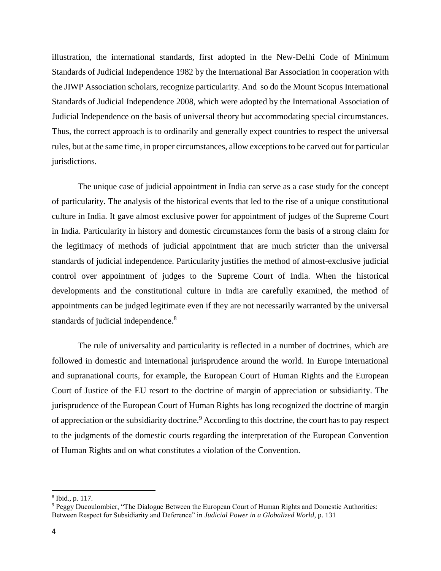illustration, the international standards, first adopted in the New-Delhi Code of Minimum Standards of Judicial Independence 1982 by the International Bar Association in cooperation with the JIWP Association scholars, recognize particularity. And so do the Mount Scopus International Standards of Judicial Independence 2008, which were adopted by the International Association of Judicial Independence on the basis of universal theory but accommodating special circumstances. Thus, the correct approach is to ordinarily and generally expect countries to respect the universal rules, but at the same time, in proper circumstances, allow exceptions to be carved out for particular jurisdictions.

The unique case of judicial appointment in India can serve as a case study for the concept of particularity. The analysis of the historical events that led to the rise of a unique constitutional culture in India. It gave almost exclusive power for appointment of judges of the Supreme Court in India. Particularity in history and domestic circumstances form the basis of a strong claim for the legitimacy of methods of judicial appointment that are much stricter than the universal standards of judicial independence. Particularity justifies the method of almost-exclusive judicial control over appointment of judges to the Supreme Court of India. When the historical developments and the constitutional culture in India are carefully examined, the method of appointments can be judged legitimate even if they are not necessarily warranted by the universal standards of judicial independence.<sup>8</sup>

The rule of universality and particularity is reflected in a number of doctrines, which are followed in domestic and international jurisprudence around the world. In Europe international and supranational courts*,* for example, the European Court of Human Rights and the European Court of Justice of the EU resort to the doctrine of margin of appreciation or subsidiarity. The jurisprudence of the European Court of Human Rights has long recognized the doctrine of margin of appreciation or the subsidiarity doctrine.<sup>9</sup> According to this doctrine, the court has to pay respect to the judgments of the domestic courts regarding the interpretation of the European Convention of Human Rights and on what constitutes a violation of the Convention.

 $\overline{\phantom{a}}$ 

<sup>8</sup> Ibid., p. 117.

<sup>9</sup> Peggy Ducoulombier, "The Dialogue Between the European Court of Human Rights and Domestic Authorities: Between Respect for Subsidiarity and Deference" in *Judicial Power in a Globalized World*, p. 131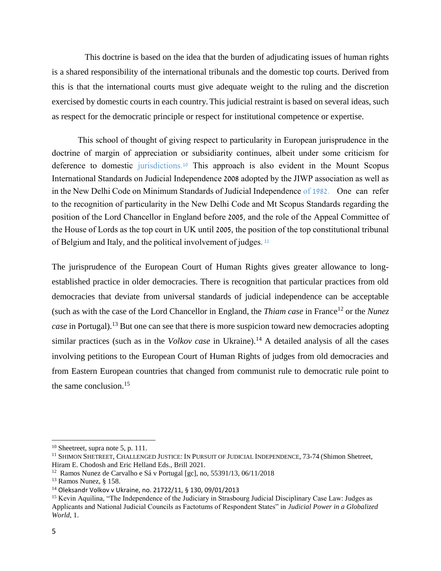This doctrine is based on the idea that the burden of adjudicating issues of human rights is a shared responsibility of the international tribunals and the domestic top courts. Derived from this is that the international courts must give adequate weight to the ruling and the discretion exercised by domestic courts in each country.This judicial restraint is based on several ideas, such as respect for the democratic principle or respect for institutional competence or expertise.

This school of thought of giving respect to particularity in European jurisprudence in the doctrine of margin of appreciation or subsidiarity continues, albeit under some criticism for deference to domestic jurisdictions.<sup>10</sup> This approach is also evident in the Mount Scopus International Standards on Judicial Independence 2008 adopted by the JIWP association as well as in the New Delhi Code on Minimum Standards of Judicial Independence of 1982. One can refer to the recognition of particularity in the New Delhi Code and Mt Scopus Standards regarding the position of the Lord Chancellor in England before 2005, and the role of the Appeal Committee of the House of Lords as the top court in UK until 2005, the position of the top constitutional tribunal of Belgium and Italy, and the political involvement of judges. <sup>11</sup>

The jurisprudence of the European Court of Human Rights gives greater allowance to longestablished practice in older democracies. There is recognition that particular practices from old democracies that deviate from universal standards of judicial independence can be acceptable (such as with the case of the Lord Chancellor in England, the *Thiam case* in France<sup>12</sup> or the *Nunez case* in Portugal).<sup>13</sup> But one can see that there is more suspicion toward new democracies adopting similar practices (such as in the *Volkov case* in Ukraine).<sup>14</sup> A detailed analysis of all the cases involving petitions to the European Court of Human Rights of judges from old democracies and from Eastern European countries that changed from communist rule to democratic rule point to the same conclusion.<sup>15</sup>

 $\overline{\phantom{a}}$ 

 $10$  Sheetreet, supra note [5,](#page-2-0) p. 111.

<sup>&</sup>lt;sup>11</sup> SHIMON SHETREET, CHALLENGED JUSTICE: IN PURSUIT OF JUDICIAL INDEPENDENCE, 73-74 (Shimon Shetreet, Hiram E. Chodosh and Eric Helland Eds., Brill 2021.

<sup>&</sup>lt;sup>12</sup> Ramos Nunez de Carvalho e Sá v Portugal [gc], no, 55391/13, 06/11/2018

<sup>13</sup> Ramos Nunez, § 158.

<sup>14</sup> Oleksandr Volkov v Ukraine, no. 21722/11, § 130, 09/01/2013

<sup>&</sup>lt;sup>15</sup> Kevin Aquilina, "The Independence of the Judiciary in Strasbourg Judicial Disciplinary Case Law: Judges as Applicants and National Judicial Councils as Factotums of Respondent States" in *Judicial Power in a Globalized World*, 1.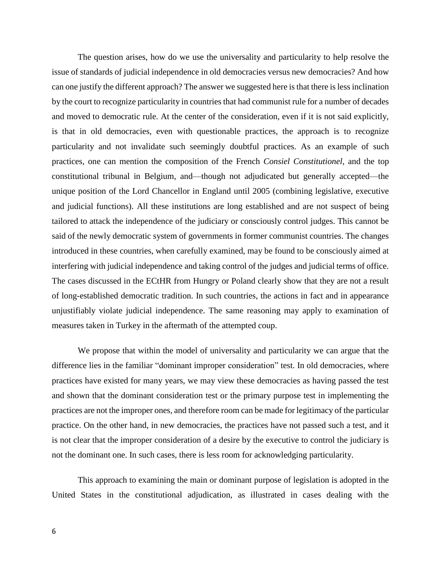The question arises, how do we use the universality and particularity to help resolve the issue of standards of judicial independence in old democracies versus new democracies? And how can one justify the different approach? The answer we suggested here is that there is less inclination by the court to recognize particularity in countries that had communist rule for a number of decades and moved to democratic rule. At the center of the consideration, even if it is not said explicitly, is that in old democracies, even with questionable practices, the approach is to recognize particularity and not invalidate such seemingly doubtful practices. As an example of such practices, one can mention the composition of the French *Consiel Constitutionel*, and the top constitutional tribunal in Belgium, and—though not adjudicated but generally accepted—the unique position of the Lord Chancellor in England until 2005 (combining legislative, executive and judicial functions). All these institutions are long established and are not suspect of being tailored to attack the independence of the judiciary or consciously control judges. This cannot be said of the newly democratic system of governments in former communist countries. The changes introduced in these countries, when carefully examined, may be found to be consciously aimed at interfering with judicial independence and taking control of the judges and judicial terms of office. The cases discussed in the ECtHR from Hungry or Poland clearly show that they are not a result of long-established democratic tradition. In such countries, the actions in fact and in appearance unjustifiably violate judicial independence. The same reasoning may apply to examination of measures taken in Turkey in the aftermath of the attempted coup.

We propose that within the model of universality and particularity we can argue that the difference lies in the familiar "dominant improper consideration" test. In old democracies, where practices have existed for many years, we may view these democracies as having passed the test and shown that the dominant consideration test or the primary purpose test in implementing the practices are not the improper ones, and therefore room can be made for legitimacy of the particular practice. On the other hand, in new democracies, the practices have not passed such a test, and it is not clear that the improper consideration of a desire by the executive to control the judiciary is not the dominant one. In such cases, there is less room for acknowledging particularity.

This approach to examining the main or dominant purpose of legislation is adopted in the United States in the constitutional adjudication, as illustrated in cases dealing with the